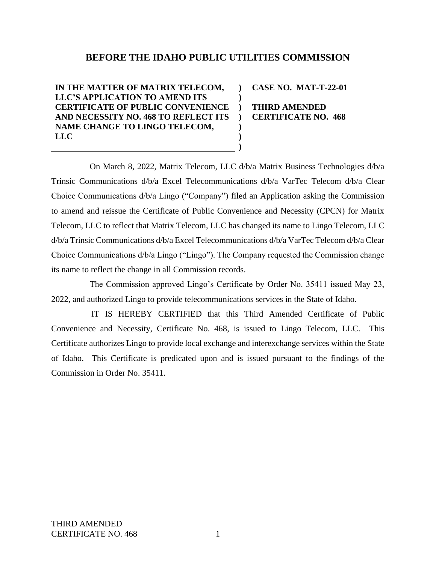## **BEFORE THE IDAHO PUBLIC UTILITIES COMMISSION**

**) ) ) ) ) ) )**

**IN THE MATTER OF MATRIX TELECOM, LLC'S APPLICATION TO AMEND ITS CERTIFICATE OF PUBLIC CONVENIENCE AND NECESSITY NO. 468 TO REFLECT ITS NAME CHANGE TO LINGO TELECOM, LLC**

**CASE NO. MAT-T-22-01**

**THIRD AMENDED CERTIFICATE NO. 468**

On March 8, 2022, Matrix Telecom, LLC d/b/a Matrix Business Technologies d/b/a Trinsic Communications d/b/a Excel Telecommunications d/b/a VarTec Telecom d/b/a Clear Choice Communications d/b/a Lingo ("Company") filed an Application asking the Commission to amend and reissue the Certificate of Public Convenience and Necessity (CPCN) for Matrix Telecom, LLC to reflect that Matrix Telecom, LLC has changed its name to Lingo Telecom, LLC d/b/a Trinsic Communications d/b/a Excel Telecommunications d/b/a VarTec Telecom d/b/a Clear Choice Communications d/b/a Lingo ("Lingo"). The Company requested the Commission change its name to reflect the change in all Commission records.

The Commission approved Lingo's Certificate by Order No. 35411 issued May 23, 2022, and authorized Lingo to provide telecommunications services in the State of Idaho.

IT IS HEREBY CERTIFIED that this Third Amended Certificate of Public Convenience and Necessity, Certificate No. 468, is issued to Lingo Telecom, LLC. This Certificate authorizes Lingo to provide local exchange and interexchange services within the State of Idaho. This Certificate is predicated upon and is issued pursuant to the findings of the Commission in Order No. 35411.